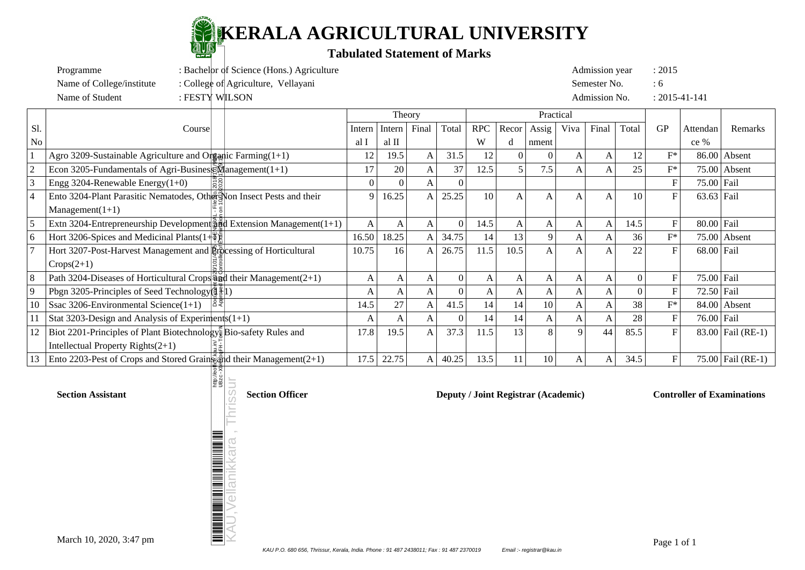

Programme : Bachelor of Science (Hons.) Agriculture Admission year : 2015

| Name of College/institute<br>: College of Agriculture, Vellayani |                                                                                   |          |        |       |          |            | Semester No. |               |             |       | :6                  |             |              |                   |
|------------------------------------------------------------------|-----------------------------------------------------------------------------------|----------|--------|-------|----------|------------|--------------|---------------|-------------|-------|---------------------|-------------|--------------|-------------------|
|                                                                  | Name of Student<br>: FESTY WILSON                                                 |          |        |       |          |            |              | Admission No. |             |       | $: 2015 - 41 - 141$ |             |              |                   |
|                                                                  |                                                                                   | Theory   |        |       |          |            | Practical    |               |             |       |                     |             |              |                   |
| Sl.                                                              | Course                                                                            | Intern   | Intern | Final | Total    | <b>RPC</b> | Recor        | Assig         | Viva        | Final | Total               | <b>GP</b>   | Attendan     | Remarks           |
| N <sub>o</sub>                                                   |                                                                                   | al I     | al II  |       |          | W          |              | nment         |             |       |                     |             | $ce\%$       |                   |
|                                                                  | Agro 3209-Sustainable Agriculture and Organic Farming $(1+1)$                     | 12       | 19.5   | A     | 31.5     | 12         | $\Omega$     |               | A           | A     | 12                  | $F^*$       |              | $86.00$ Absent    |
|                                                                  | Econ 3205-Fundamentals of Agri-Busines $\mathbb{R}^{\mathbb{N}}$ anagement (1+1)  | 17       | 20     | A     | 37       | 12.5       |              | 7.5           | A           | A     | 25                  | $F^*$       |              | $75.00$ Absent    |
|                                                                  | Engg 3204-Renewable Energy $(1+0)$<br>$\frac{8}{20}$                              | $\Omega$ |        |       |          |            |              |               |             |       |                     |             | $75.00$ Fail |                   |
|                                                                  | Ento 3204-Plant Parasitic Nematodes, Other Non Insect Pests and their             | 9        | 16.25  | A     | 25.25    | 10         | A            | A             | A           | A     | 10                  | F           | $63.63$ Fail |                   |
|                                                                  | $Management(1+1)$                                                                 |          |        |       |          |            |              |               |             |       |                     |             |              |                   |
|                                                                  | Extn 3204-Entrepreneurship Development $\frac{3}{20}$ Extension Management (1+1)  | A        | A      | A     |          | 14.5       | A            | A             | A           | A     | 14.5                |             | $80.00$ Fail |                   |
|                                                                  | Hort 3206-Spices and Medicinal Plants $(1+\Phi)$                                  | 16.50    | 18.25  | A     | 34.75    | 14         | 13           | 9             | A           | A     | 36                  | $F^*$       |              | $75.00$ Absent    |
|                                                                  | Hort 3207-Post-Harvest Management and Lipecessing of Horticultural                | 10.75    | 16     | A     | 26.75    | 11.5       | 10.5         | A             | Α           | A     | 22                  |             | $68.00$ Fail |                   |
|                                                                  | $Crops(2+1)$                                                                      |          |        |       |          |            |              |               |             |       |                     |             |              |                   |
|                                                                  | Path 3204-Diseases of Horticultural Crops $\frac{80}{90}$ d their Management(2+1) | A        | A      | A     | 0        | A          | A            | A             | A           | A     |                     | F           | $75.00$ Fail |                   |
|                                                                  | Pbgn 3205-Principles of Seed Technology $(\frac{3}{2})$                           | A        | A      | A     | $\Omega$ | A          | A            | A             | A           | A     |                     |             | $72.50$ Fail |                   |
| 10                                                               | 8₹<br>Ssac 3206-Environmental Science $(1+1)$                                     | 14.5     | 27     | A     | 41.5     | 14         | 14           | 10            | A           | A     | 38                  | $F^*$       |              | $84.00$ Absent    |
|                                                                  | Stat 3203-Design and Analysis of Experiments $(1+1)$                              | A        | A      | A     | $\Omega$ | 14         | 14           | A             | A           | A     | 28                  |             | $76.00$ Fail |                   |
| 12                                                               | Biot 2201-Principles of Plant Biotechnology Bio-safety Rules and                  | 17.8     | 19.5   | A     | 37.3     | 11.5       | 13           |               | $\mathbf Q$ | 44    | 85.5                |             |              | 83.00 Fail (RE-1) |
|                                                                  | Intellectual Property Rights $(2+1)$                                              |          |        |       |          |            |              |               |             |       |                     |             |              |                   |
| 13                                                               | Ento 2203-Pest of Crops and Stored Grain and their Management $(2+1)$             | 17.5     | 22.75  | A     | 40.25    | 13.5       | 11           | 10            | A           | A     | 34.5                | $\mathbf F$ |              | 75.00 Fail (RE-1) |
|                                                                  | http:<br>UBz                                                                      |          |        |       |          |            |              |               |             |       |                     |             |              |                   |

KAU,Vellanikkara , Thrissur

ellanıkkara

**Section Assistant Section Officer Section Officer Deputy / Joint Registrar (Academic) Controller of Examinations**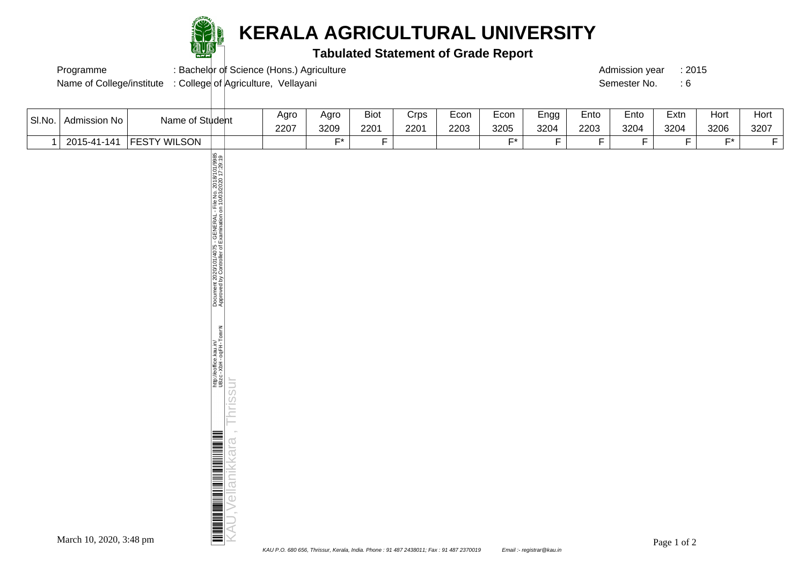

### **KERALA AGRICULTURAL UNIVERSITY**

#### **Tabulated Statement of Grade Report**

Programme : Bachelor of Science (Hons.) Agriculture : 2015

Name of College/institute : College of Agriculture, Vellayani Semester No. : 6

| SI.No.       | Admission No                    | Name of Student     |                                                                                                                                                                                                                                                      | Agro<br>2207 | Agro<br>3209 | <b>Biot</b><br>2201 | Crps<br>2201 | Econ<br>2203 | Econ<br>3205 | Engg<br>3204   | Ento<br>2203   | Ento<br>3204   | Extn<br>3204                                            | Hort<br>3206 | Hort<br>3207   |
|--------------|---------------------------------|---------------------|------------------------------------------------------------------------------------------------------------------------------------------------------------------------------------------------------------------------------------------------------|--------------|--------------|---------------------|--------------|--------------|--------------|----------------|----------------|----------------|---------------------------------------------------------|--------------|----------------|
| $\mathbf{1}$ | 2015-41-141                     | <b>FESTY WILSON</b> |                                                                                                                                                                                                                                                      |              | $F^*$        | $\overline{F}$      |              |              | $F^*$        | $\overline{F}$ | $\overline{F}$ | $\overline{F}$ | $\overline{F}$                                          | $F^*$        | $\overline{F}$ |
|              |                                 |                     | Document 2020/101/4075 - GENERAL - File No. 2018/101/9985<br>Approved by Controller of Examination on 10/03/2020 17:29:19<br>http://eoffice.kau.in/<br>UBzc-XbH-ogFH-TomrN<br>Thrissur<br><u> ALIMINI DI ANGLIA ANGLIA ANGLIA ANG</u><br>ellanikkara |              |              |                     |              |              |              |                |                |                |                                                         |              |                |
|              | March 10 2020 $3.48 \text{ nm}$ |                     |                                                                                                                                                                                                                                                      |              |              |                     |              |              |              |                |                |                | $D_{\text{max}} = 1 \cdot \mathcal{C} \cap \mathcal{C}$ |              |                |